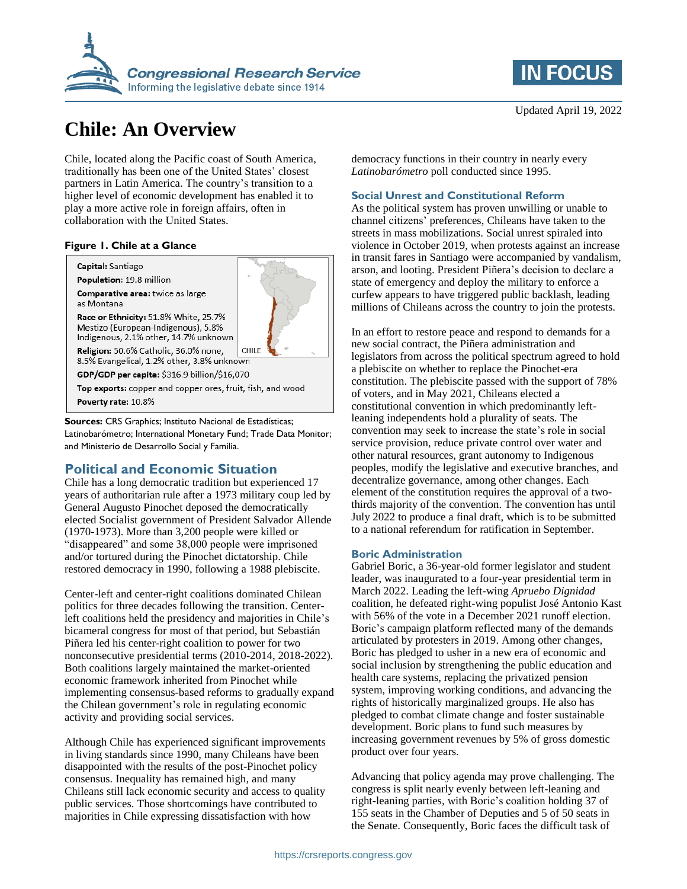

# **Chile: An Overview**

Chile, located along the Pacific coast of South America, traditionally has been one of the United States' closest partners in Latin America. The country's transition to a higher level of economic development has enabled it to play a more active role in foreign affairs, often in collaboration with the United States.

### **Figure 1. Chile at a Glance**

Capital: Santiago Population: 19.8 million

Comparative area: twice as large as Montana

Race or Ethnicity: 51.8% White, 25.7% Mestizo (European-Indigenous), 5.8% Indigenous, 2.1% other, 14.7% unknown

Religion: 50.6% Catholic, 36.0% none, CHILE 8.5% Evangelical, 1.2% other, 3.8% unknown

GDP/GDP per capita: \$316.9 billion/\$16,070

Top exports: copper and copper ores, fruit, fish, and wood Poverty rate: 10.8%

**Sources:** CRS Graphics; Instituto Nacional de Estadísticas; Latinobarómetro; International Monetary Fund; Trade Data Monitor; and Ministerio de Desarrollo Social y Familia.

## **Political and Economic Situation**

Chile has a long democratic tradition but experienced 17 years of authoritarian rule after a 1973 military coup led by General Augusto Pinochet deposed the democratically elected Socialist government of President Salvador Allende (1970-1973). More than 3,200 people were killed or "disappeared" and some 38,000 people were imprisoned and/or tortured during the Pinochet dictatorship. Chile restored democracy in 1990, following a 1988 plebiscite.

Center-left and center-right coalitions dominated Chilean politics for three decades following the transition. Centerleft coalitions held the presidency and majorities in Chile's bicameral congress for most of that period, but Sebastián Piñera led his center-right coalition to power for two nonconsecutive presidential terms (2010-2014, 2018-2022). Both coalitions largely maintained the market-oriented economic framework inherited from Pinochet while implementing consensus-based reforms to gradually expand the Chilean government's role in regulating economic activity and providing social services.

Although Chile has experienced significant improvements in living standards since 1990, many Chileans have been disappointed with the results of the post-Pinochet policy consensus. Inequality has remained high, and many Chileans still lack economic security and access to quality public services. Those shortcomings have contributed to majorities in Chile expressing dissatisfaction with how



democracy functions in their country in nearly every *Latinobarómetro* poll conducted since 1995.

## **Social Unrest and Constitutional Reform**

As the political system has proven unwilling or unable to channel citizens' preferences, Chileans have taken to the streets in mass mobilizations. Social unrest spiraled into violence in October 2019, when protests against an increase in transit fares in Santiago were accompanied by vandalism, arson, and looting. President Piñera's decision to declare a state of emergency and deploy the military to enforce a curfew appears to have triggered public backlash, leading millions of Chileans across the country to join the protests.

In an effort to restore peace and respond to demands for a new social contract, the Piñera administration and legislators from across the political spectrum agreed to hold a plebiscite on whether to replace the Pinochet-era constitution. The plebiscite passed with the support of 78% of voters, and in May 2021, Chileans elected a constitutional convention in which predominantly leftleaning independents hold a plurality of seats. The convention may seek to increase the state's role in social service provision, reduce private control over water and other natural resources, grant autonomy to Indigenous peoples, modify the legislative and executive branches, and decentralize governance, among other changes. Each element of the constitution requires the approval of a twothirds majority of the convention. The convention has until July 2022 to produce a final draft, which is to be submitted to a national referendum for ratification in September.

## **Boric Administration**

Gabriel Boric, a 36-year-old former legislator and student leader, was inaugurated to a four-year presidential term in March 2022. Leading the left-wing *Apruebo Dignidad* coalition, he defeated right-wing populist José Antonio Kast with 56% of the vote in a December 2021 runoff election. Boric's campaign platform reflected many of the demands articulated by protesters in 2019. Among other changes, Boric has pledged to usher in a new era of economic and social inclusion by strengthening the public education and health care systems, replacing the privatized pension system, improving working conditions, and advancing the rights of historically marginalized groups. He also has pledged to combat climate change and foster sustainable development. Boric plans to fund such measures by increasing government revenues by 5% of gross domestic product over four years.

Advancing that policy agenda may prove challenging. The congress is split nearly evenly between left-leaning and right-leaning parties, with Boric's coalition holding 37 of 155 seats in the Chamber of Deputies and 5 of 50 seats in the Senate. Consequently, Boric faces the difficult task of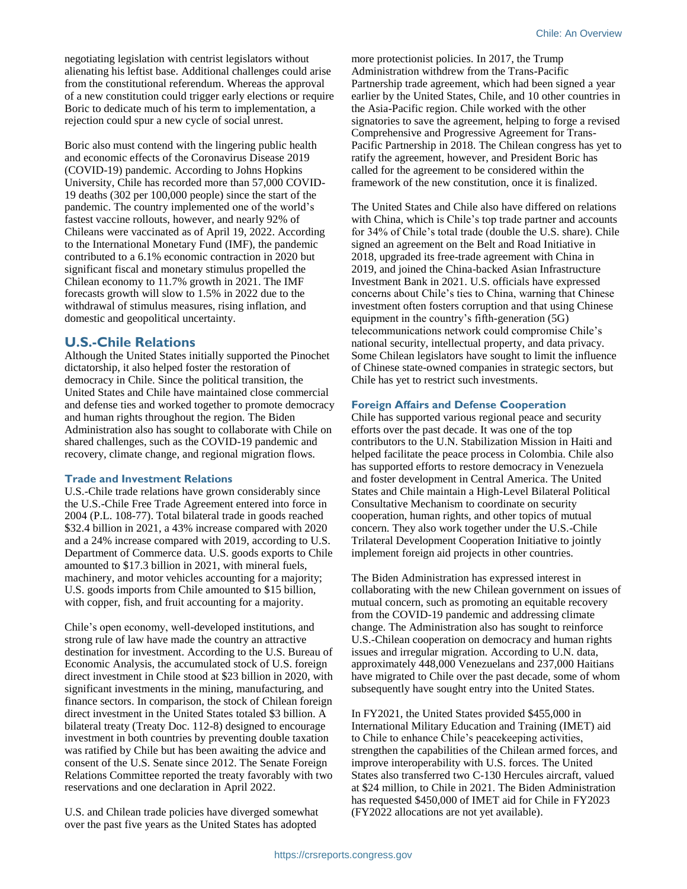negotiating legislation with centrist legislators without alienating his leftist base. Additional challenges could arise from the constitutional referendum. Whereas the approval of a new constitution could trigger early elections or require Boric to dedicate much of his term to implementation, a rejection could spur a new cycle of social unrest.

Boric also must contend with the lingering public health and economic effects of the Coronavirus Disease 2019 (COVID-19) pandemic. According to Johns Hopkins University, Chile has recorded more than 57,000 COVID-19 deaths (302 per 100,000 people) since the start of the pandemic. The country implemented one of the world's fastest vaccine rollouts, however, and nearly 92% of Chileans were vaccinated as of April 19, 2022. According to the International Monetary Fund (IMF), the pandemic contributed to a 6.1% economic contraction in 2020 but significant fiscal and monetary stimulus propelled the Chilean economy to 11.7% growth in 2021. The IMF forecasts growth will slow to 1.5% in 2022 due to the withdrawal of stimulus measures, rising inflation, and domestic and geopolitical uncertainty.

## **U.S.-Chile Relations**

Although the United States initially supported the Pinochet dictatorship, it also helped foster the restoration of democracy in Chile. Since the political transition, the United States and Chile have maintained close commercial and defense ties and worked together to promote democracy and human rights throughout the region. The Biden Administration also has sought to collaborate with Chile on shared challenges, such as the COVID-19 pandemic and recovery, climate change, and regional migration flows.

## **Trade and Investment Relations**

U.S.-Chile trade relations have grown considerably since the U.S.-Chile Free Trade Agreement entered into force in 2004 (P.L. 108-77). Total bilateral trade in goods reached \$32.4 billion in 2021, a 43% increase compared with 2020 and a 24% increase compared with 2019, according to U.S. Department of Commerce data. U.S. goods exports to Chile amounted to \$17.3 billion in 2021, with mineral fuels, machinery, and motor vehicles accounting for a majority; U.S. goods imports from Chile amounted to \$15 billion, with copper, fish, and fruit accounting for a majority.

Chile's open economy, well-developed institutions, and strong rule of law have made the country an attractive destination for investment. According to the U.S. Bureau of Economic Analysis, the accumulated stock of U.S. foreign direct investment in Chile stood at \$23 billion in 2020, with significant investments in the mining, manufacturing, and finance sectors. In comparison, the stock of Chilean foreign direct investment in the United States totaled \$3 billion. A bilateral treaty (Treaty Doc. 112-8) designed to encourage investment in both countries by preventing double taxation was ratified by Chile but has been awaiting the advice and consent of the U.S. Senate since 2012. The Senate Foreign Relations Committee reported the treaty favorably with two reservations and one declaration in April 2022.

U.S. and Chilean trade policies have diverged somewhat over the past five years as the United States has adopted

more protectionist policies. In 2017, the Trump Administration withdrew from the Trans-Pacific Partnership trade agreement, which had been signed a year earlier by the United States, Chile, and 10 other countries in the Asia-Pacific region. Chile worked with the other signatories to save the agreement, helping to forge a revised Comprehensive and Progressive Agreement for Trans-Pacific Partnership in 2018. The Chilean congress has yet to ratify the agreement, however, and President Boric has called for the agreement to be considered within the framework of the new constitution, once it is finalized.

The United States and Chile also have differed on relations with China, which is Chile's top trade partner and accounts for 34% of Chile's total trade (double the U.S. share). Chile signed an agreement on the Belt and Road Initiative in 2018, upgraded its free-trade agreement with China in 2019, and joined the China-backed Asian Infrastructure Investment Bank in 2021. U.S. officials have expressed concerns about Chile's ties to China, warning that Chinese investment often fosters corruption and that using Chinese equipment in the country's fifth-generation (5G) telecommunications network could compromise Chile's national security, intellectual property, and data privacy. Some Chilean legislators have sought to limit the influence of Chinese state-owned companies in strategic sectors, but Chile has yet to restrict such investments.

### **Foreign Affairs and Defense Cooperation**

Chile has supported various regional peace and security efforts over the past decade. It was one of the top contributors to the U.N. Stabilization Mission in Haiti and helped facilitate the peace process in Colombia. Chile also has supported efforts to restore democracy in Venezuela and foster development in Central America. The United States and Chile maintain a High-Level Bilateral Political Consultative Mechanism to coordinate on security cooperation, human rights, and other topics of mutual concern. They also work together under the U.S.-Chile Trilateral Development Cooperation Initiative to jointly implement foreign aid projects in other countries.

The Biden Administration has expressed interest in collaborating with the new Chilean government on issues of mutual concern, such as promoting an equitable recovery from the COVID-19 pandemic and addressing climate change. The Administration also has sought to reinforce U.S.-Chilean cooperation on democracy and human rights issues and irregular migration. According to U.N. data, approximately 448,000 Venezuelans and 237,000 Haitians have migrated to Chile over the past decade, some of whom subsequently have sought entry into the United States.

In FY2021, the United States provided \$455,000 in International Military Education and Training (IMET) aid to Chile to enhance Chile's peacekeeping activities, strengthen the capabilities of the Chilean armed forces, and improve interoperability with U.S. forces. The United States also transferred two C-130 Hercules aircraft, valued at \$24 million, to Chile in 2021. The Biden Administration has requested \$450,000 of IMET aid for Chile in FY2023 (FY2022 allocations are not yet available).